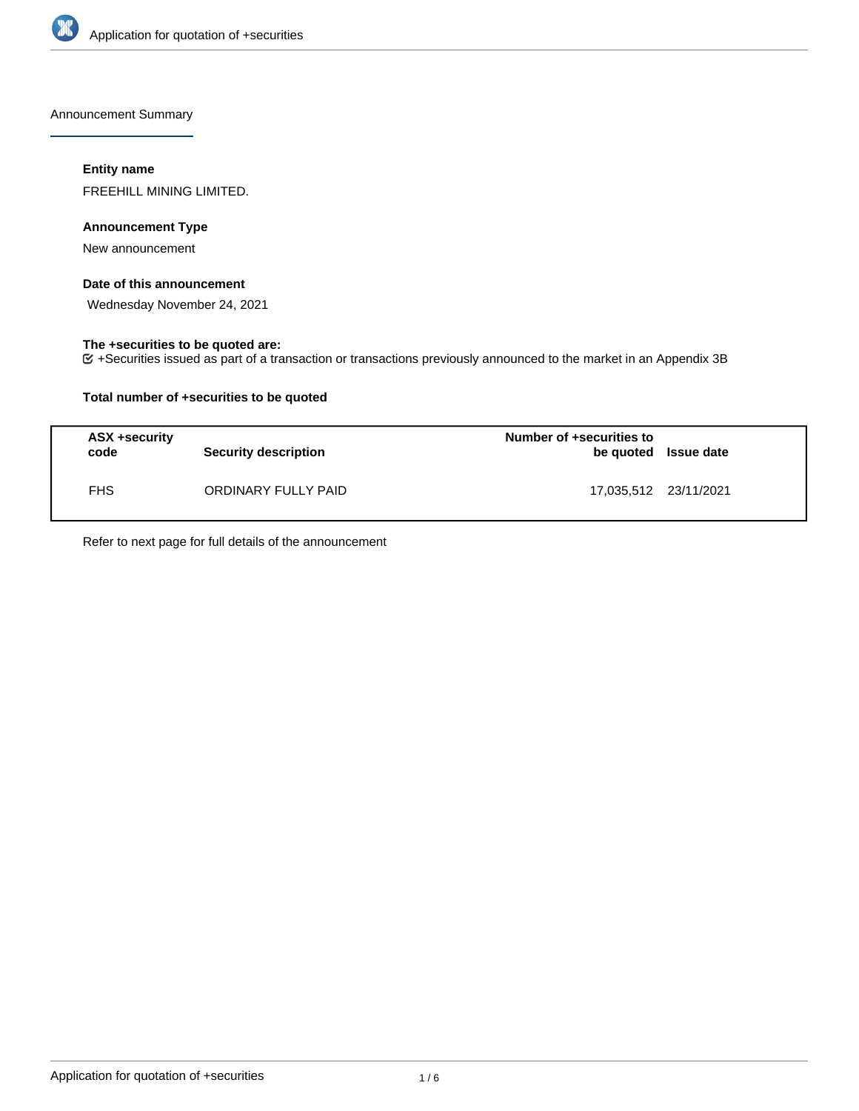

Announcement Summary

## **Entity name**

FREEHILL MINING LIMITED.

## **Announcement Type**

New announcement

### **Date of this announcement**

Wednesday November 24, 2021

## **The +securities to be quoted are:**

+Securities issued as part of a transaction or transactions previously announced to the market in an Appendix 3B

## **Total number of +securities to be quoted**

| ASX +security<br>code | <b>Security description</b> | Number of +securities to<br>be quoted Issue date |  |
|-----------------------|-----------------------------|--------------------------------------------------|--|
| <b>FHS</b>            | ORDINARY FULLY PAID         | 17.035.512 23/11/2021                            |  |

Refer to next page for full details of the announcement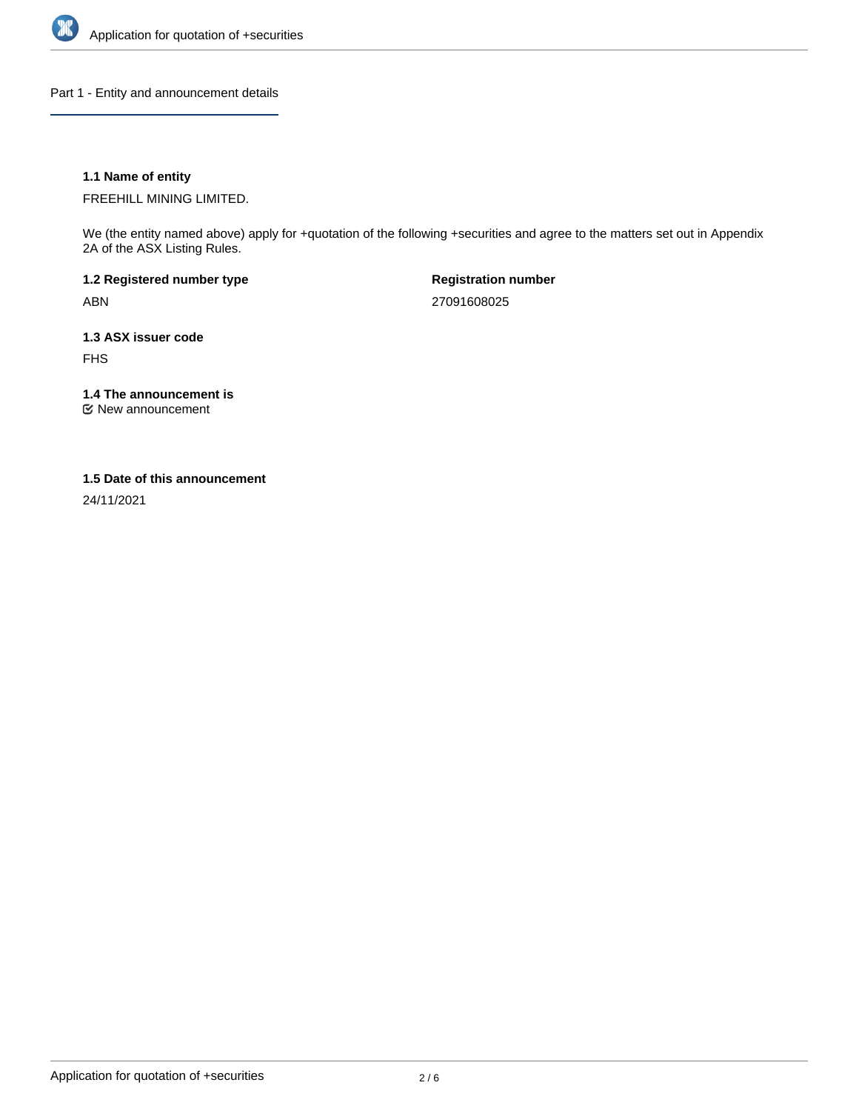

Part 1 - Entity and announcement details

## **1.1 Name of entity**

FREEHILL MINING LIMITED.

We (the entity named above) apply for +quotation of the following +securities and agree to the matters set out in Appendix 2A of the ASX Listing Rules.

**1.2 Registered number type** ABN

**Registration number** 27091608025

**1.3 ASX issuer code** FHS

**1.4 The announcement is**

New announcement

#### **1.5 Date of this announcement**

24/11/2021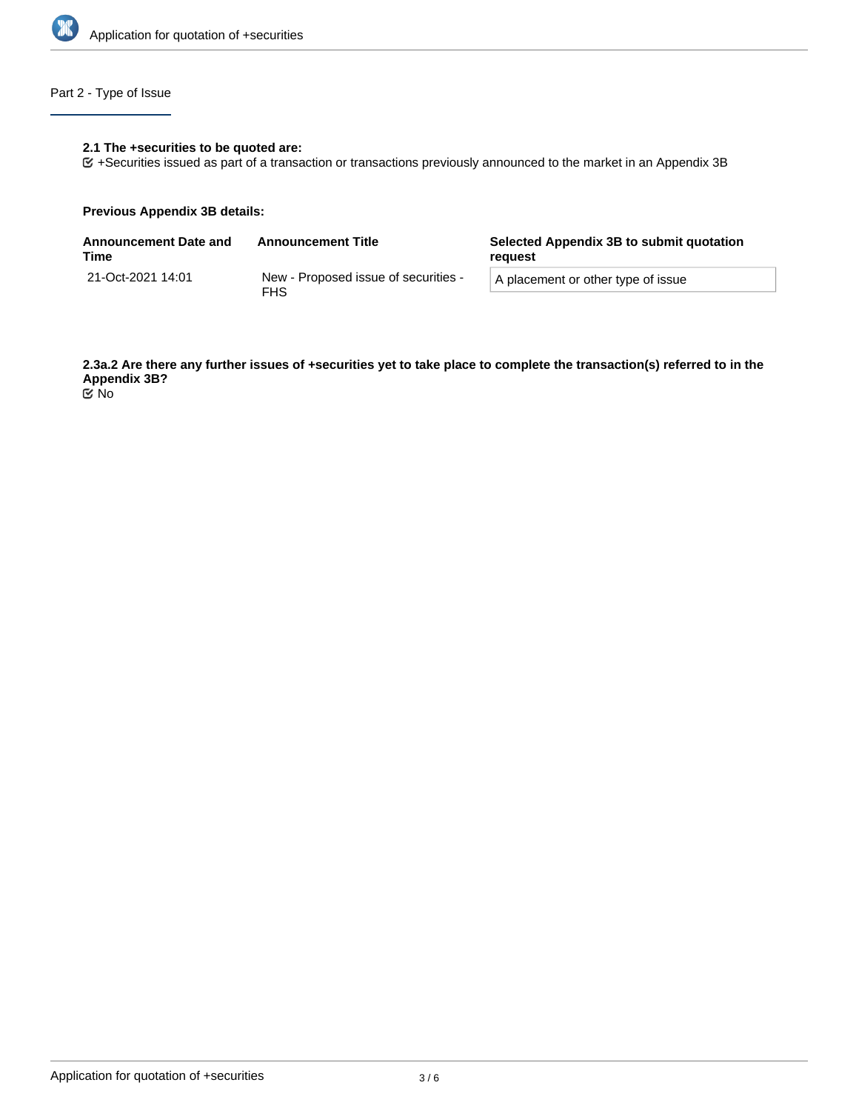

# Part 2 - Type of Issue

## **2.1 The +securities to be quoted are:**

+Securities issued as part of a transaction or transactions previously announced to the market in an Appendix 3B

#### **Previous Appendix 3B details:**

| <b>Announcement Date and</b><br>Time | <b>Announcement Title</b>                          | Selected Appendix 3B to submit quotation<br>reauest |  |
|--------------------------------------|----------------------------------------------------|-----------------------------------------------------|--|
| 21-Oct-2021 14:01                    | New - Proposed issue of securities -<br><b>FHS</b> | A placement or other type of issue                  |  |

**2.3a.2 Are there any further issues of +securities yet to take place to complete the transaction(s) referred to in the Appendix 3B?** No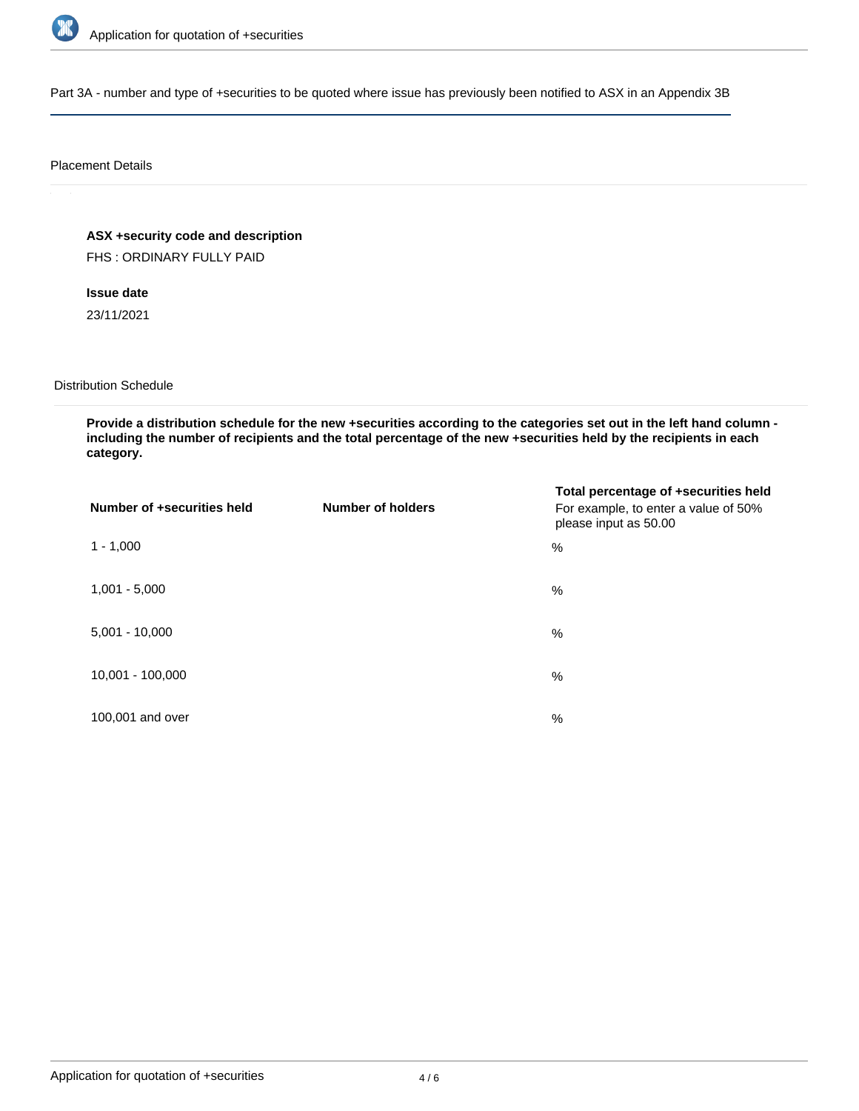

Part 3A - number and type of +securities to be quoted where issue has previously been notified to ASX in an Appendix 3B

#### Placement Details

**ASX +security code and description**

FHS : ORDINARY FULLY PAID

**Issue date** 23/11/2021

Distribution Schedule

**Provide a distribution schedule for the new +securities according to the categories set out in the left hand column including the number of recipients and the total percentage of the new +securities held by the recipients in each category.**

| Number of +securities held | <b>Number of holders</b> | Total percentage of +securities held<br>For example, to enter a value of 50%<br>please input as 50.00 |
|----------------------------|--------------------------|-------------------------------------------------------------------------------------------------------|
| $1 - 1,000$                |                          | %                                                                                                     |
| $1,001 - 5,000$            |                          | $\%$                                                                                                  |
| $5,001 - 10,000$           |                          | %                                                                                                     |
| 10,001 - 100,000           |                          | $\%$                                                                                                  |
| 100,001 and over           |                          | $\%$                                                                                                  |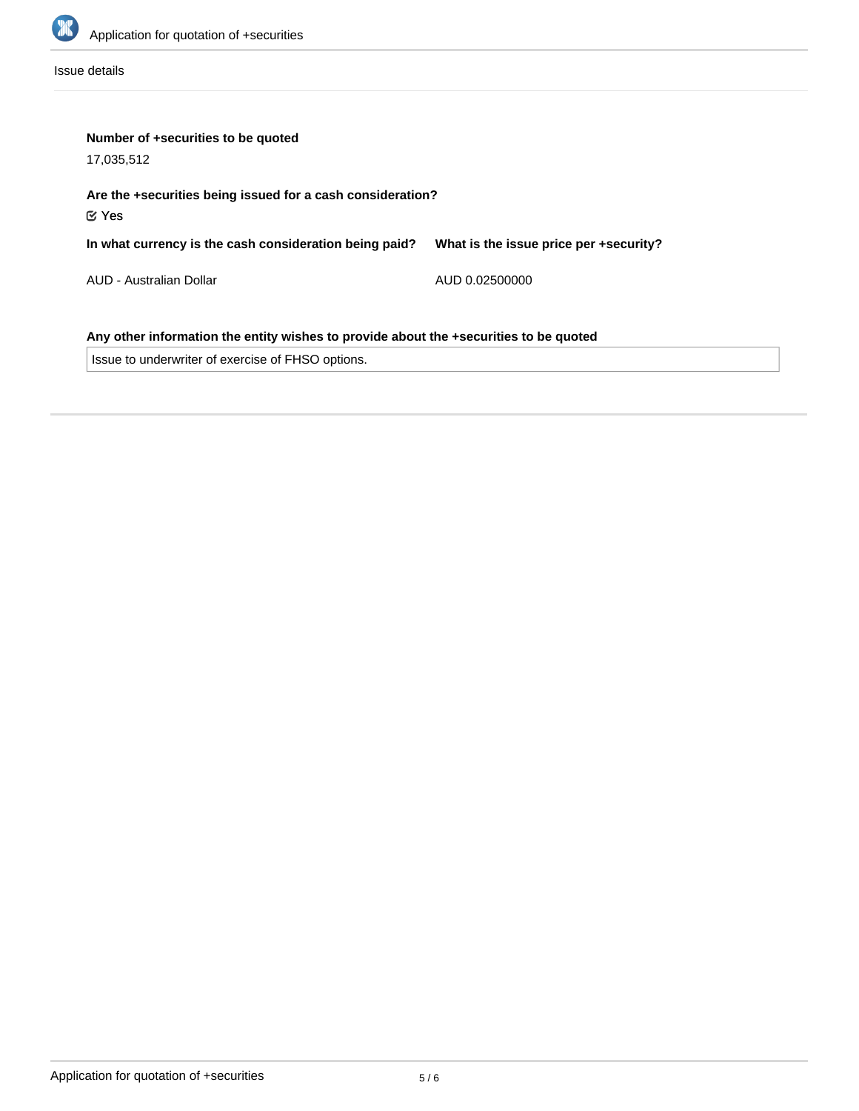

Issue details

| Number of +securities to be quoted<br>17,035,512                                      |                                        |  |  |  |
|---------------------------------------------------------------------------------------|----------------------------------------|--|--|--|
| Are the +securities being issued for a cash consideration?<br>$\mathfrak C$ Yes       |                                        |  |  |  |
| In what currency is the cash consideration being paid?                                | What is the issue price per +security? |  |  |  |
| AUD - Australian Dollar                                                               | AUD 0.02500000                         |  |  |  |
| Any other information the entity wishes to provide about the +securities to be quoted |                                        |  |  |  |
| Issue to underwriter of exercise of FHSO options.                                     |                                        |  |  |  |